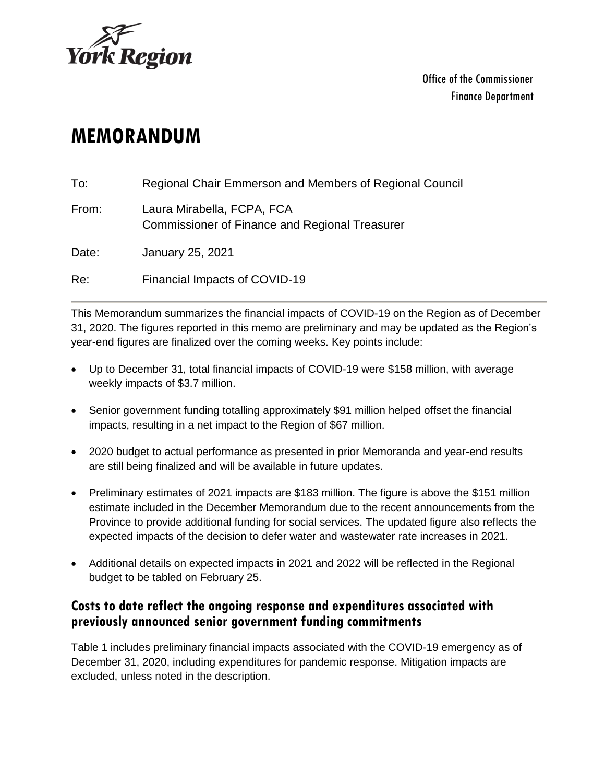

# **MEMORANDUM**

| To:   | Regional Chair Emmerson and Members of Regional Council                             |
|-------|-------------------------------------------------------------------------------------|
| From: | Laura Mirabella, FCPA, FCA<br><b>Commissioner of Finance and Regional Treasurer</b> |
| Date: | January 25, 2021                                                                    |
| Re:   | Financial Impacts of COVID-19                                                       |

This Memorandum summarizes the financial impacts of COVID-19 on the Region as of December 31, 2020. The figures reported in this memo are preliminary and may be updated as the Region's year-end figures are finalized over the coming weeks. Key points include:

- Up to December 31, total financial impacts of COVID-19 were \$158 million, with average weekly impacts of \$3.7 million.
- Senior government funding totalling approximately \$91 million helped offset the financial impacts, resulting in a net impact to the Region of \$67 million.
- 2020 budget to actual performance as presented in prior Memoranda and year-end results are still being finalized and will be available in future updates.
- Preliminary estimates of 2021 impacts are \$183 million. The figure is above the \$151 million estimate included in the December Memorandum due to the recent announcements from the Province to provide additional funding for social services. The updated figure also reflects the expected impacts of the decision to defer water and wastewater rate increases in 2021.
- Additional details on expected impacts in 2021 and 2022 will be reflected in the Regional budget to be tabled on February 25.

#### **Costs to date reflect the ongoing response and expenditures associated with previously announced senior government funding commitments**

Table 1 includes preliminary financial impacts associated with the COVID-19 emergency as of December 31, 2020, including expenditures for pandemic response. Mitigation impacts are excluded, unless noted in the description.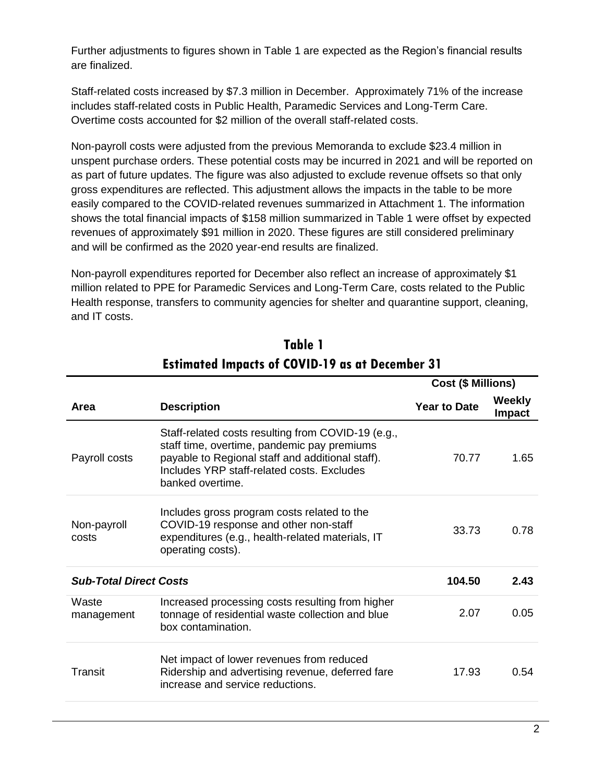Further adjustments to figures shown in Table 1 are expected as the Region's financial results are finalized.

Staff-related costs increased by \$7.3 million in December. Approximately 71% of the increase includes staff-related costs in Public Health, Paramedic Services and Long-Term Care. Overtime costs accounted for \$2 million of the overall staff-related costs.

Non-payroll costs were adjusted from the previous Memoranda to exclude \$23.4 million in unspent purchase orders. These potential costs may be incurred in 2021 and will be reported on as part of future updates. The figure was also adjusted to exclude revenue offsets so that only gross expenditures are reflected. This adjustment allows the impacts in the table to be more easily compared to the COVID-related revenues summarized in Attachment 1. The information shows the total financial impacts of \$158 million summarized in Table 1 were offset by expected revenues of approximately \$91 million in 2020. These figures are still considered preliminary and will be confirmed as the 2020 year-end results are finalized.

Non-payroll expenditures reported for December also reflect an increase of approximately \$1 million related to PPE for Paramedic Services and Long-Term Care, costs related to the Public Health response, transfers to community agencies for shelter and quarantine support, cleaning, and IT costs.

|                               |                                                                                                                                                                                                                         | Cost (\$ Millions)  |                  |  |
|-------------------------------|-------------------------------------------------------------------------------------------------------------------------------------------------------------------------------------------------------------------------|---------------------|------------------|--|
| <b>Area</b>                   | <b>Description</b>                                                                                                                                                                                                      | <b>Year to Date</b> | Weekly<br>Impact |  |
| Payroll costs                 | Staff-related costs resulting from COVID-19 (e.g.,<br>staff time, overtime, pandemic pay premiums<br>payable to Regional staff and additional staff).<br>Includes YRP staff-related costs. Excludes<br>banked overtime. | 70.77               | 1.65             |  |
| Non-payroll<br>costs          | Includes gross program costs related to the<br>COVID-19 response and other non-staff<br>expenditures (e.g., health-related materials, IT<br>operating costs).                                                           | 33.73               | 0.78             |  |
| <b>Sub-Total Direct Costs</b> |                                                                                                                                                                                                                         | 104.50              | 2.43             |  |
| Waste<br>management           | Increased processing costs resulting from higher<br>tonnage of residential waste collection and blue<br>box contamination.                                                                                              | 2.07                | 0.05             |  |
| Transit                       | Net impact of lower revenues from reduced<br>Ridership and advertising revenue, deferred fare<br>increase and service reductions.                                                                                       | 17.93               | 0.54             |  |

# **Table 1 Estimated Impacts of COVID-19 as at December 31**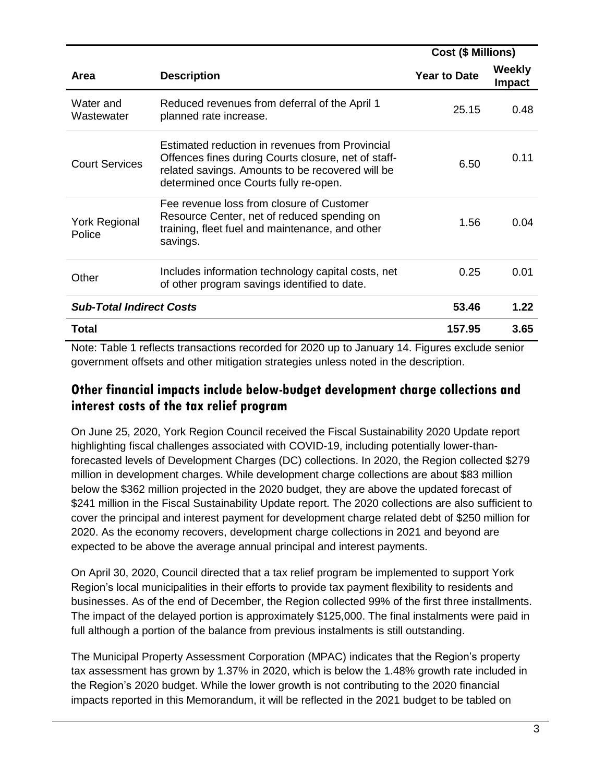|                                 |                                                                                                                                                                                                     | <b>Cost (\$ Millions)</b> |                  |
|---------------------------------|-----------------------------------------------------------------------------------------------------------------------------------------------------------------------------------------------------|---------------------------|------------------|
| <b>Area</b>                     | <b>Description</b>                                                                                                                                                                                  | <b>Year to Date</b>       | Weekly<br>Impact |
| Water and<br>Wastewater         | Reduced revenues from deferral of the April 1<br>planned rate increase.                                                                                                                             | 25.15                     | 0.48             |
| <b>Court Services</b>           | Estimated reduction in revenues from Provincial<br>Offences fines during Courts closure, net of staff-<br>related savings. Amounts to be recovered will be<br>determined once Courts fully re-open. | 6.50                      | 0.11             |
| <b>York Regional</b><br>Police  | Fee revenue loss from closure of Customer<br>Resource Center, net of reduced spending on<br>training, fleet fuel and maintenance, and other<br>savings.                                             | 1.56                      | 0.04             |
| Other                           | Includes information technology capital costs, net<br>of other program savings identified to date.                                                                                                  | 0.25                      | 0.01             |
| <b>Sub-Total Indirect Costs</b> |                                                                                                                                                                                                     | 53.46                     | 1.22             |
| Total                           |                                                                                                                                                                                                     | 157.95                    | 3.65             |

Note: Table 1 reflects transactions recorded for 2020 up to January 14. Figures exclude senior government offsets and other mitigation strategies unless noted in the description.

## **Other financial impacts include below-budget development charge collections and interest costs of the tax relief program**

On June 25, 2020, York Region Council received the Fiscal Sustainability 2020 Update report highlighting fiscal challenges associated with COVID-19, including potentially lower-thanforecasted levels of Development Charges (DC) collections. In 2020, the Region collected \$279 million in development charges. While development charge collections are about \$83 million below the \$362 million projected in the 2020 budget, they are above the updated forecast of \$241 million in the Fiscal Sustainability Update report. The 2020 collections are also sufficient to cover the principal and interest payment for development charge related debt of \$250 million for 2020. As the economy recovers, development charge collections in 2021 and beyond are expected to be above the average annual principal and interest payments.

On April 30, 2020, Council directed that a tax relief program be implemented to support York Region's local municipalities in their efforts to provide tax payment flexibility to residents and businesses. As of the end of December, the Region collected 99% of the first three installments. The impact of the delayed portion is approximately \$125,000. The final instalments were paid in full although a portion of the balance from previous instalments is still outstanding.

The Municipal Property Assessment Corporation (MPAC) indicates that the Region's property tax assessment has grown by 1.37% in 2020, which is below the 1.48% growth rate included in the Region's 2020 budget. While the lower growth is not contributing to the 2020 financial impacts reported in this Memorandum, it will be reflected in the 2021 budget to be tabled on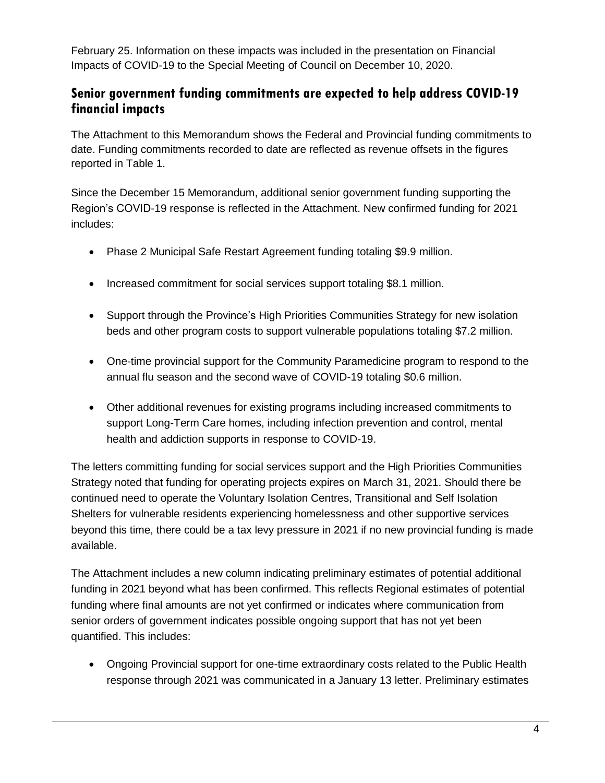February 25. Information on these impacts was included in the presentation on Financial Impacts of COVID-19 to the Special Meeting of Council on December 10, 2020.

### **Senior government funding commitments are expected to help address COVID-19 financial impacts**

The Attachment to this Memorandum shows the Federal and Provincial funding commitments to date. Funding commitments recorded to date are reflected as revenue offsets in the figures reported in Table 1.

Since the December 15 Memorandum, additional senior government funding supporting the Region's COVID-19 response is reflected in the Attachment. New confirmed funding for 2021 includes:

- Phase 2 Municipal Safe Restart Agreement funding totaling \$9.9 million.
- Increased commitment for social services support totaling \$8.1 million.
- Support through the Province's High Priorities Communities Strategy for new isolation beds and other program costs to support vulnerable populations totaling \$7.2 million.
- One-time provincial support for the Community Paramedicine program to respond to the annual flu season and the second wave of COVID-19 totaling \$0.6 million.
- Other additional revenues for existing programs including increased commitments to support Long-Term Care homes, including infection prevention and control, mental health and addiction supports in response to COVID-19.

The letters committing funding for social services support and the High Priorities Communities Strategy noted that funding for operating projects expires on March 31, 2021. Should there be continued need to operate the Voluntary Isolation Centres, Transitional and Self Isolation Shelters for vulnerable residents experiencing homelessness and other supportive services beyond this time, there could be a tax levy pressure in 2021 if no new provincial funding is made available.

The Attachment includes a new column indicating preliminary estimates of potential additional funding in 2021 beyond what has been confirmed. This reflects Regional estimates of potential funding where final amounts are not yet confirmed or indicates where communication from senior orders of government indicates possible ongoing support that has not yet been quantified. This includes:

 Ongoing Provincial support for one-time extraordinary costs related to the Public Health response through 2021 was communicated in a January 13 letter. Preliminary estimates